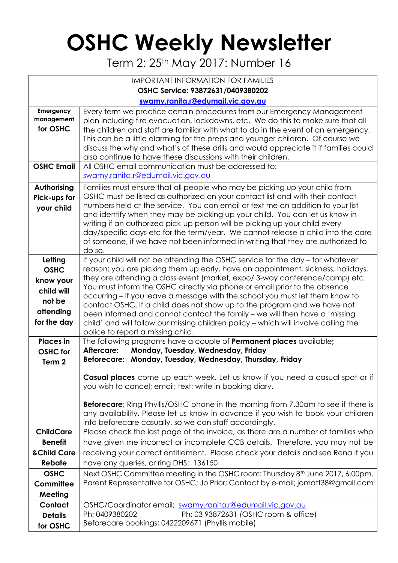## **OSHC Weekly Newsletter**

Term 2: 25th May 2017: Number 16

| <b>IMPORTANT INFORMATION FOR FAMILIES</b>                                               |                                                                                                                                                                                                                                                                                                                                                                                                                                                                                                                                                                                                                                                                                                     |  |  |  |  |  |  |
|-----------------------------------------------------------------------------------------|-----------------------------------------------------------------------------------------------------------------------------------------------------------------------------------------------------------------------------------------------------------------------------------------------------------------------------------------------------------------------------------------------------------------------------------------------------------------------------------------------------------------------------------------------------------------------------------------------------------------------------------------------------------------------------------------------------|--|--|--|--|--|--|
| OSHC Service: 93872631/0409380202                                                       |                                                                                                                                                                                                                                                                                                                                                                                                                                                                                                                                                                                                                                                                                                     |  |  |  |  |  |  |
|                                                                                         | swamy.ranita.r@edumail.vic.gov.au                                                                                                                                                                                                                                                                                                                                                                                                                                                                                                                                                                                                                                                                   |  |  |  |  |  |  |
| Emergency<br>management<br>for OSHC                                                     | Every term we practice certain procedures from our Emergency Management<br>plan including fire evacuation, lockdowns, etc. We do this to make sure that all<br>the children and staff are familiar with what to do in the event of an emergency.<br>This can be a little alarming for the preps and younger children. Of course we<br>discuss the why and what's of these drills and would appreciate it if families could<br>also continue to have these discussions with their children.                                                                                                                                                                                                          |  |  |  |  |  |  |
| <b>OSHC Email</b>                                                                       | All OSHC email communication must be addressed to:<br>swamy.ranita.r@edumail.vic.gov.au                                                                                                                                                                                                                                                                                                                                                                                                                                                                                                                                                                                                             |  |  |  |  |  |  |
| Authorising<br>Pick-ups for<br>your child                                               | Families must ensure that all people who may be picking up your child from<br>OSHC must be listed as authorized on your contact list and with their contact<br>numbers held at the service. You can email or text me an addition to your list<br>and identify when they may be picking up your child. You can let us know in<br>writing if an authorized pick-up person will be picking up your child every<br>day/specific days etc for the term/year. We cannot release a child into the care<br>of someone, if we have not been informed in writing that they are authorized to<br>do so.                                                                                                        |  |  |  |  |  |  |
| Letting<br><b>OSHC</b><br>know your<br>child will<br>not be<br>attending<br>for the day | If your child will not be attending the OSHC service for the day - for whatever<br>reason; you are picking them up early, have an appointment, sickness, holidays,<br>they are attending a class event (market, expo/3-way conference/camp) etc.<br>You must inform the OSHC directly via phone or email prior to the absence<br>occurring – if you leave a message with the school you must let them know to<br>contact OSHC. If a child does not show up to the program and we have not<br>been informed and cannot contact the family - we will then have a 'missing<br>child' and will follow our missing children policy - which will involve calling the<br>police to report a missing child. |  |  |  |  |  |  |
| <b>Places</b> in<br><b>OSHC</b> for<br>Term <sub>2</sub>                                | The following programs have a couple of <b>Permanent places</b> available;<br>Monday, Tuesday, Wednesday, Friday<br>Aftercare:<br>Beforecare: Monday, Tuesday, Wednesday, Thursday, Friday                                                                                                                                                                                                                                                                                                                                                                                                                                                                                                          |  |  |  |  |  |  |
|                                                                                         | Casual places come up each week. Let us know if you need a casual spot or if<br>you wish to cancel; email; text; write in booking diary.<br><b>Beforecare</b> ; Ring Phyllis/OSHC phone in the morning from 7.30am to see if there is<br>any availability. Please let us know in advance if you wish to book your children<br>into beforecare casually, so we can staff accordingly.                                                                                                                                                                                                                                                                                                                |  |  |  |  |  |  |
| <b>ChildCare</b><br><b>Benefit</b><br><b>&amp;Child Care</b>                            | Please check the last page of the invoice, as there are a number of families who<br>have given me incorrect or incomplete CCB details. Therefore, you may not be<br>receiving your correct entitlement. Please check your details and see Rena if you                                                                                                                                                                                                                                                                                                                                                                                                                                               |  |  |  |  |  |  |
| <b>Rebate</b>                                                                           | have any queries, or ring DHS: 136150                                                                                                                                                                                                                                                                                                                                                                                                                                                                                                                                                                                                                                                               |  |  |  |  |  |  |
| <b>OSHC</b><br>Committee<br>Meeting                                                     | Next OSHC Committee meeting in the OSHC room: Thursday 8 <sup>th</sup> June 2017, 6.00pm.<br>Parent Representative for OSHC; Jo Prior; Contact by e-mail; jomatt38@gmail.com                                                                                                                                                                                                                                                                                                                                                                                                                                                                                                                        |  |  |  |  |  |  |
| Contact<br><b>Details</b><br>for OSHC                                                   | OSHC/Coordinator email; swamy.ranita.r@edumail.vic.gov.au<br>Ph; 0409380202<br>Ph; 03 93872631 (OSHC room & office)<br>Beforecare bookings; 0422209671 (Phyllis mobile)                                                                                                                                                                                                                                                                                                                                                                                                                                                                                                                             |  |  |  |  |  |  |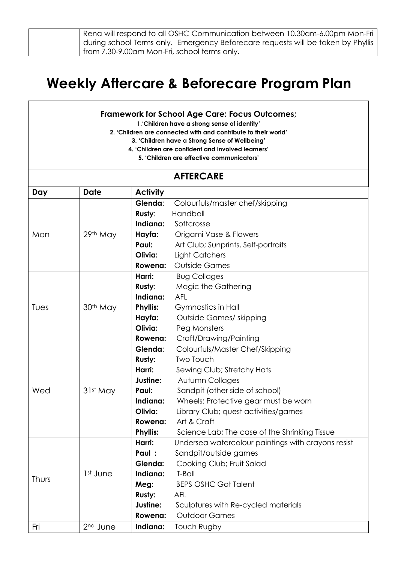| Rena will respond to all OSHC Communication between 10.30am-6.00pm Mon-Fri        |
|-----------------------------------------------------------------------------------|
| during school Terms only.  Emergency Beforecare requests will be taken by Phyllis |
| from 7.30-9.00am Mon-Fri, school terms only.                                      |

## **Weekly Aftercare & Beforecare Program Plan**

## **Framework for School Age Care: Focus Outcomes;**

**1.'Children have a strong sense of identity'**

**2. 'Children are connected with and contribute to their world'**

**3. 'Children have a Strong Sense of Wellbeing'**

- **4. 'Children are confident and involved learners'**
	- **5. 'Children are effective communicators'**

## **AFTERCARE Day Date Activity** Mon | 29th May **Glenda**: Colourfuls/master chef/skipping **Rusty**: Handball **Indiana:** Softcrosse **Hayfa:** Origami Vase & Flowers **Paul:** Art Club; Sunprints, Self-portraits **Olivia:** Light Catchers **Rowena:** Outside Games Tues | 30<sup>th</sup> May **Harri:** Bug Collages **Rusty**: Magic the Gathering **Indiana:** AFL **Phyllis:** Gymnastics in Hall **Hayfa:** Outside Games/ skipping **Olivia:** Peg Monsters **Rowena:** Craft/Drawing/Painting Wed 31st May **Glenda**: Colourfuls/Master Chef/Skipping **Rusty:** Two Touch Harri: Sewing Club; Stretchy Hats **Justine:** Autumn Collages **Paul:** Sandpit (other side of school) **Indiana:** Wheels: Protective gear must be worn **Olivia:** Library Club; quest activities/games **Rowena:** Art & Craft **Phyllis:** Science Lab; The case of the Shrinking Tissue Thurs 1st June **Harri:** Undersea watercolour paintings with crayons resist **Paul :** Sandpit/outside games **Glenda:** Cooking Club; Fruit Salad **Indiana:** T-Ball **Meg:** BEPS OSHC Got Talent **Rusty:** AFL **Justine:** Sculptures with Re-cycled materials **Rowena:** Outdoor Games Fri 2nd June **Indiana:** Touch Rugby